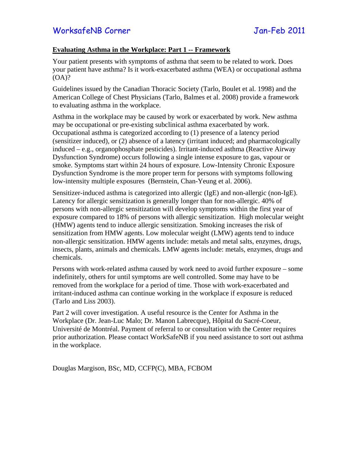## **Evaluating Asthma in the Workplace: Part 1 -- Framework**

Your patient presents with symptoms of asthma that seem to be related to work. Does your patient have asthma? Is it work-exacerbated asthma (WEA) or occupational asthma (OA)?

Guidelines issued by the Canadian Thoracic Society (Tarlo, Boulet et al. 1998) and the American College of Chest Physicians (Tarlo, Balmes et al. 2008) provide a framework to evaluating asthma in the workplace.

Asthma in the workplace may be caused by work or exacerbated by work. New asthma may be occupational or pre-existing subclinical asthma exacerbated by work. Occupational asthma is categorized according to (1) presence of a latency period (sensitizer induced), or (2) absence of a latency (irritant induced; and pharmacologically induced – e.g., organophosphate pesticides). Irritant-induced asthma (Reactive Airway Dysfunction Syndrome) occurs following a single intense exposure to gas, vapour or smoke. Symptoms start within 24 hours of exposure. Low-Intensity Chronic Exposure Dysfunction Syndrome is the more proper term for persons with symptoms following low-intensity multiple exposures (Bernstein, Chan-Yeung et al. 2006).

Sensitizer-induced asthma is categorized into allergic (IgE) and non-allergic (non-IgE). Latency for allergic sensitization is generally longer than for non-allergic. 40% of persons with non-allergic sensitization will develop symptoms within the first year of exposure compared to 18% of persons with allergic sensitization. High molecular weight (HMW) agents tend to induce allergic sensitization. Smoking increases the risk of sensitization from HMW agents. Low molecular weight (LMW) agents tend to induce non-allergic sensitization. HMW agents include: metals and metal salts, enzymes, drugs, insects, plants, animals and chemicals. LMW agents include: metals, enzymes, drugs and chemicals.

Persons with work-related asthma caused by work need to avoid further exposure – some indefinitely, others for until symptoms are well controlled. Some may have to be removed from the workplace for a period of time. Those with work-exacerbated and irritant-induced asthma can continue working in the workplace if exposure is reduced (Tarlo and Liss 2003).

Part 2 will cover investigation. A useful resource is the Center for Asthma in the Workplace (Dr. Jean-Luc Malo; Dr. Manon Labrecque), Hôpital du Sacré-Coeur, Université de Montréal. Payment of referral to or consultation with the Center requires prior authorization. Please contact WorkSafeNB if you need assistance to sort out asthma in the workplace.

Douglas Margison, BSc, MD, CCFP(C), MBA, FCBOM